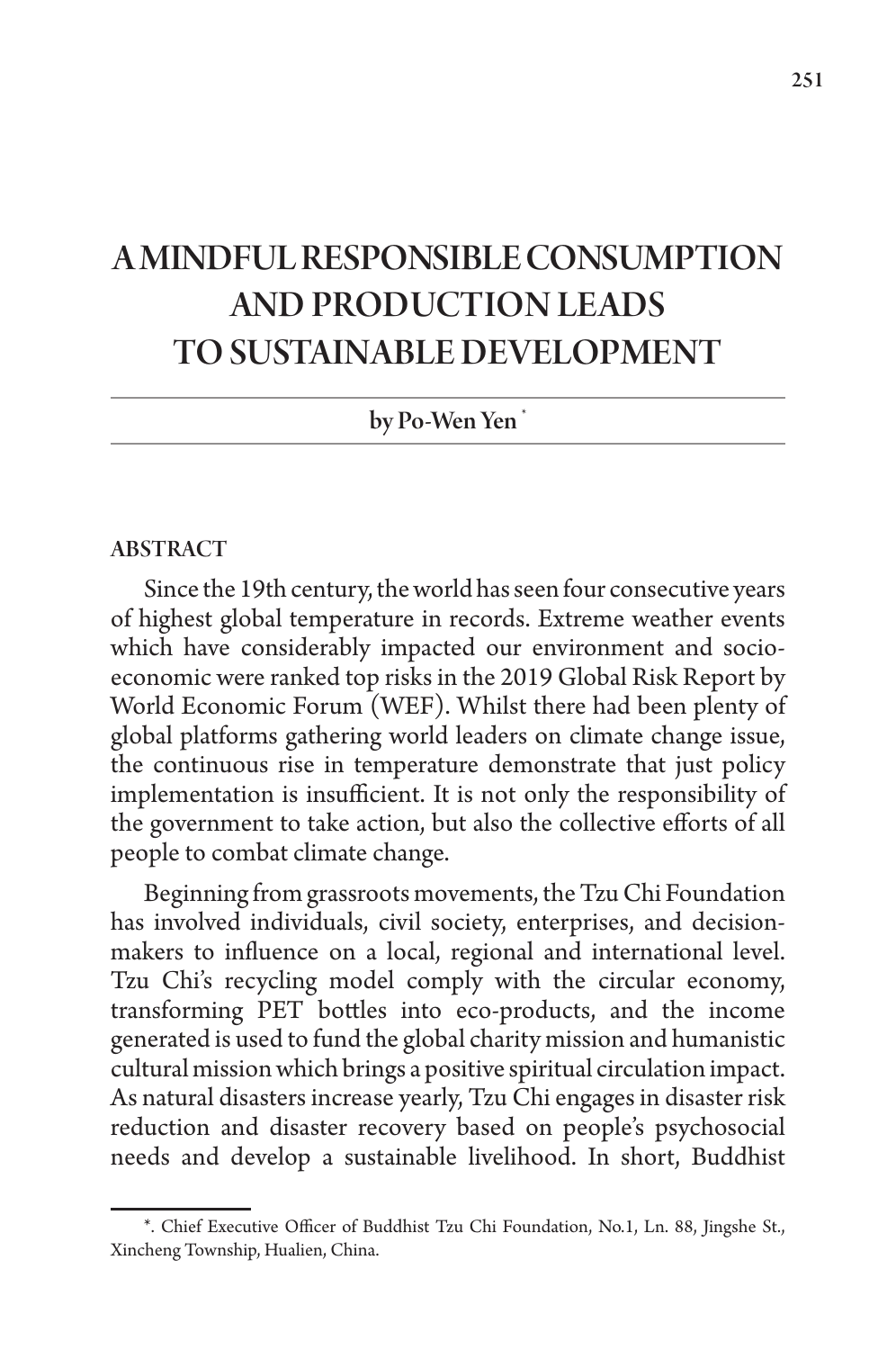# A MINDFUL RESPONSIBLE CONSUMPTION AND PRODUCTION LEADS TO SUSTAINABLE DEVELOPMENT

by Po-Wen Yen \*

#### ABSTRACT

Since the 19th century, the world has seen four consecutive years of highest global temperature in records. Extreme weather events which have considerably impacted our environment and socioeconomic were ranked top risks in the 2019 Global Risk Report by World Economic Forum (WEF). Whilst there had been plenty of global platforms gathering world leaders on climate change issue, the continuous rise in temperature demonstrate that just policy implementation is insufficient. It is not only the responsibility of the government to take action, but also the collective efforts of all people to combat climate change.

Beginning from grassroots movements, the Tzu Chi Foundation has involved individuals, civil society, enterprises, and decisionmakers to influence on a local, regional and international level. Tzu Chi's recycling model comply with the circular economy, transforming PET bottles into eco-products, and the income generated is used to fund the global charity mission and humanistic cultural mission which brings a positive spiritual circulation impact. As natural disasters increase yearly, Tzu Chi engages in disaster risk reduction and disaster recovery based on people's psychosocial needs and develop a sustainable livelihood. In short, Buddhist

<sup>\*.</sup> Chief Executive Officer of Buddhist Tzu Chi Foundation, No.1, Ln. 88, Jingshe St., Xincheng Township, Hualien, China.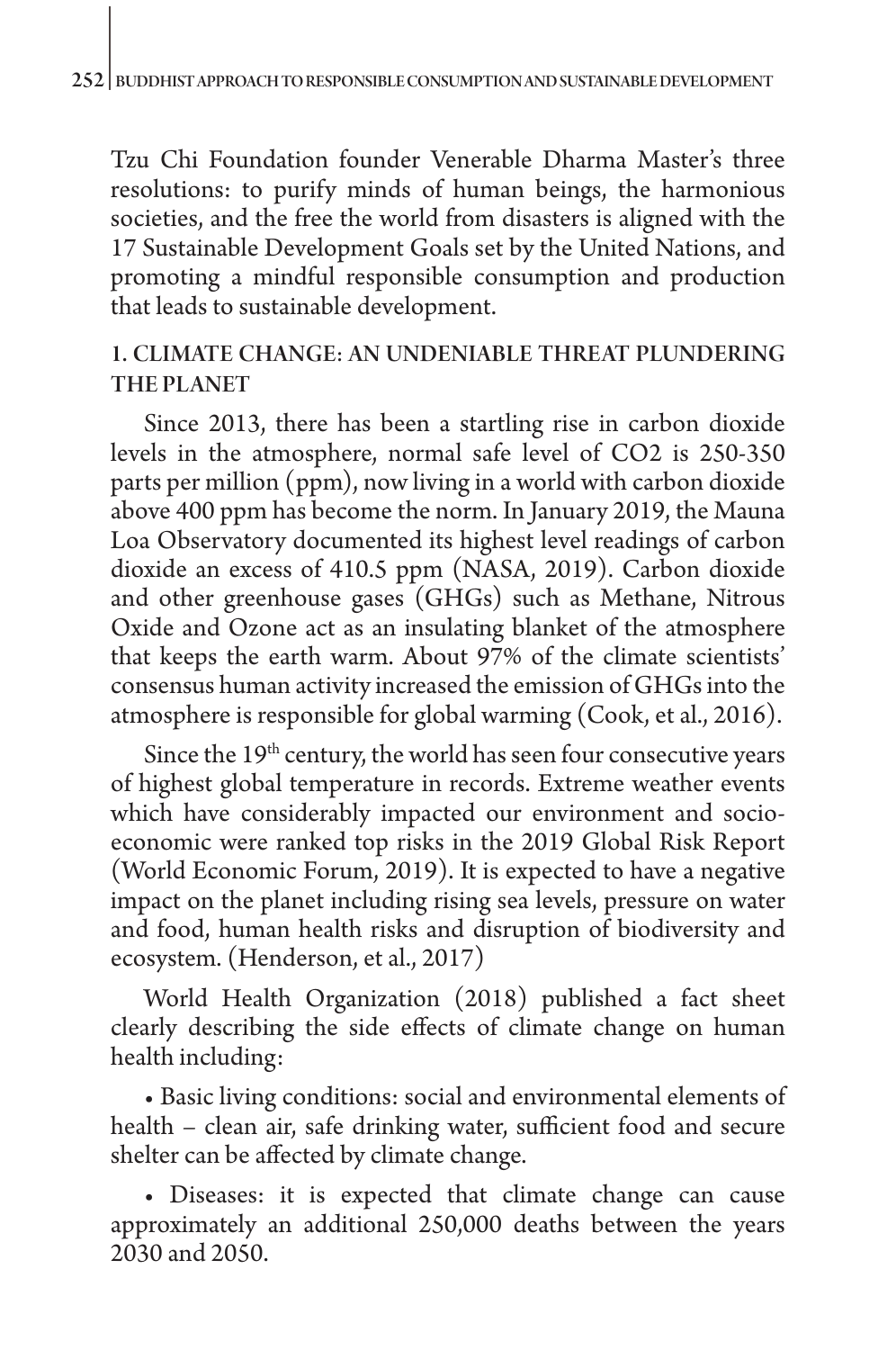Tzu Chi Foundation founder Venerable Dharma Master's three resolutions: to purify minds of human beings, the harmonious societies, and the free the world from disasters is aligned with the 17 Sustainable Development Goals set by the United Nations, and promoting a mindful responsible consumption and production that leads to sustainable development.

## 1. CLIMATE CHANGE: AN UNDENIABLE THREAT PLUNDERING THE PLANET

Since 2013, there has been a startling rise in carbon dioxide levels in the atmosphere, normal safe level of CO2 is 250-350 parts per million (ppm), now living in a world with carbon dioxide above 400 ppm has become the norm. In January 2019, the Mauna Loa Observatory documented its highest level readings of carbon dioxide an excess of 410.5 ppm (NASA, 2019). Carbon dioxide and other greenhouse gases (GHGs) such as Methane, Nitrous Oxide and Ozone act as an insulating blanket of the atmosphere that keeps the earth warm. About 97% of the climate scientists' consensus human activity increased the emission of GHGs into the atmosphere is responsible for global warming (Cook, et al., 2016).

Since the  $19<sup>th</sup>$  century, the world has seen four consecutive years of highest global temperature in records. Extreme weather events which have considerably impacted our environment and socioeconomic were ranked top risks in the 2019 Global Risk Report (World Economic Forum, 2019). It is expected to have a negative impact on the planet including rising sea levels, pressure on water and food, human health risks and disruption of biodiversity and ecosystem. (Henderson, et al., 2017)

World Health Organization (2018) published a fact sheet clearly describing the side effects of climate change on human health including:

• Basic living conditions: social and environmental elements of health – clean air, safe drinking water, sufficient food and secure shelter can be affected by climate change.

• Diseases: it is expected that climate change can cause approximately an additional 250,000 deaths between the years 2030 and 2050.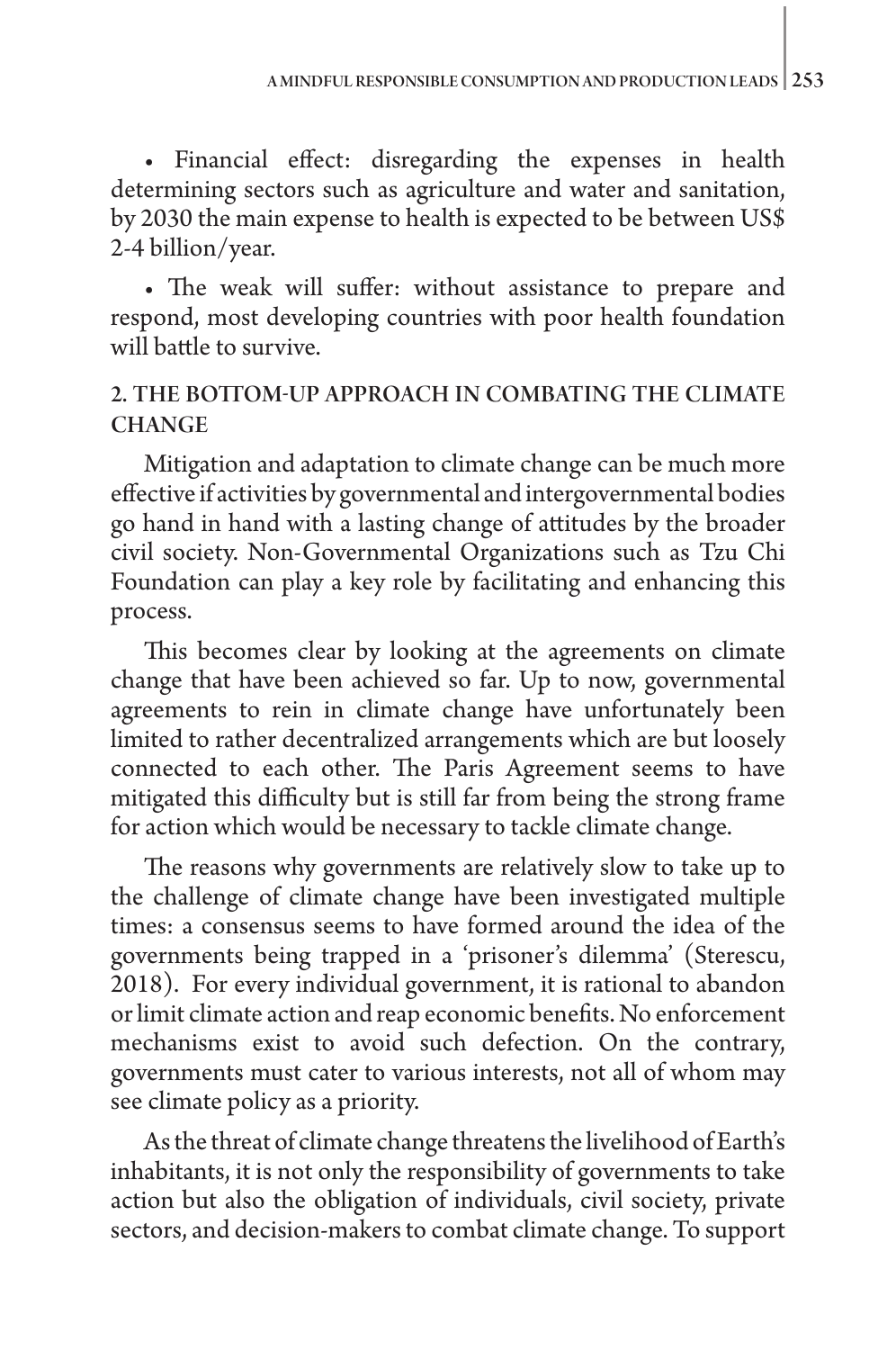• Financial effect: disregarding the expenses in health determining sectors such as agriculture and water and sanitation, by 2030 the main expense to health is expected to be between US\$ 2-4 billion/year.

• The weak will suffer: without assistance to prepare and respond, most developing countries with poor health foundation will battle to survive.

# 2. THE BOTTOM-UP APPROACH IN COMBATING THE CLIMATE **CHANGE**

Mitigation and adaptation to climate change can be much more effective if activities by governmental and intergovernmental bodies go hand in hand with a lasting change of attitudes by the broader civil society. Non-Governmental Organizations such as Tzu Chi Foundation can play a key role by facilitating and enhancing this process.

This becomes clear by looking at the agreements on climate change that have been achieved so far. Up to now, governmental agreements to rein in climate change have unfortunately been limited to rather decentralized arrangements which are but loosely connected to each other. The Paris Agreement seems to have mitigated this difficulty but is still far from being the strong frame for action which would be necessary to tackle climate change.

The reasons why governments are relatively slow to take up to the challenge of climate change have been investigated multiple times: a consensus seems to have formed around the idea of the governments being trapped in a 'prisoner's dilemma' (Sterescu, 2018). For every individual government, it is rational to abandon or limit climate action and reap economic benefits. No enforcement mechanisms exist to avoid such defection. On the contrary, governments must cater to various interests, not all of whom may see climate policy as a priority.

As the threat of climate change threatens the livelihood of Earth's inhabitants, it is not only the responsibility of governments to take action but also the obligation of individuals, civil society, private sectors, and decision-makers to combat climate change. To support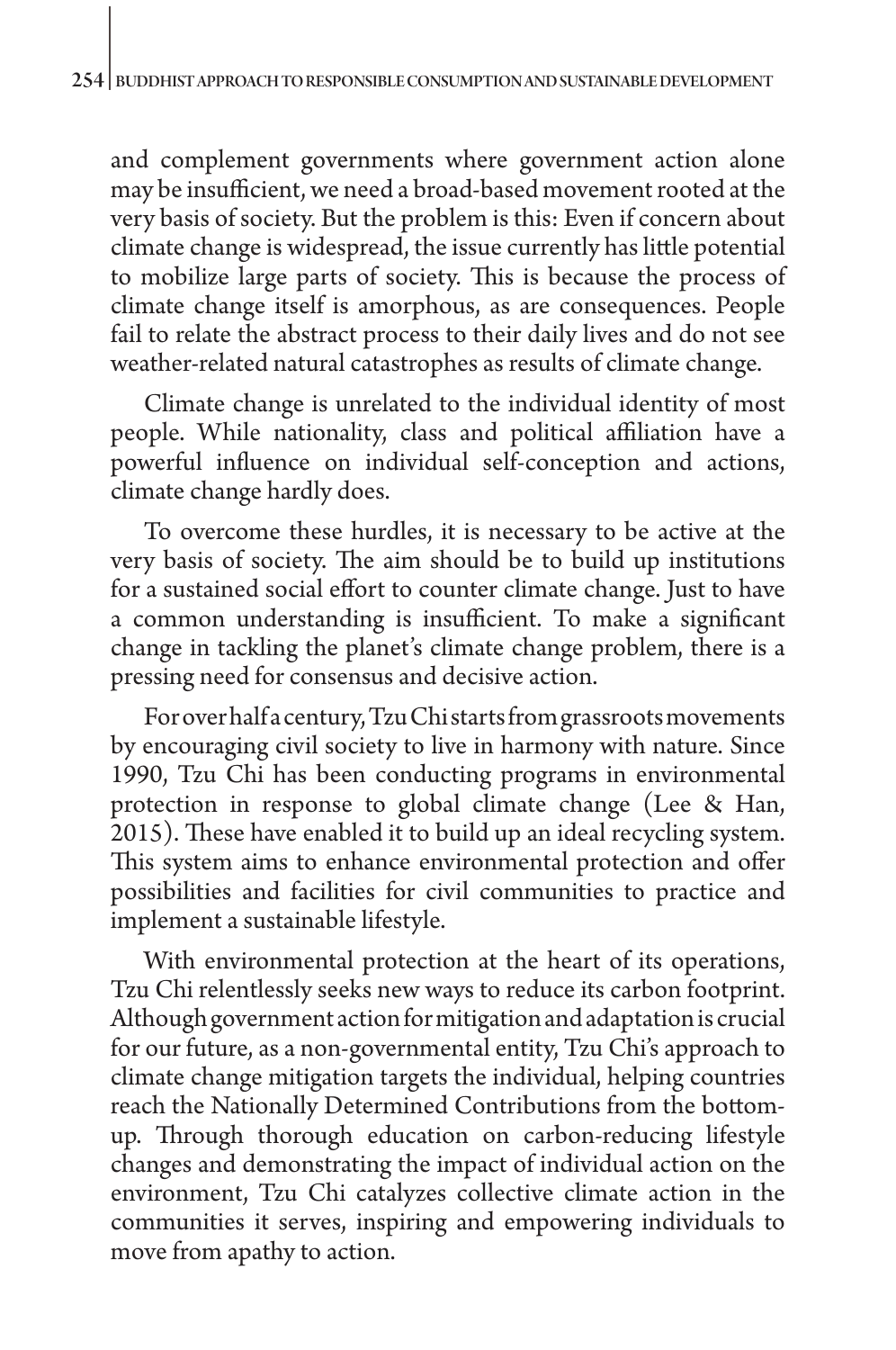and complement governments where government action alone may be insufficient, we need a broad-based movement rooted at the very basis of society. But the problem is this: Even if concern about climate change is widespread, the issue currently has little potential to mobilize large parts of society. This is because the process of climate change itself is amorphous, as are consequences. People fail to relate the abstract process to their daily lives and do not see weather-related natural catastrophes as results of climate change.

Climate change is unrelated to the individual identity of most people. While nationality, class and political affiliation have a powerful influence on individual self-conception and actions, climate change hardly does.

To overcome these hurdles, it is necessary to be active at the very basis of society. The aim should be to build up institutions for a sustained social effort to counter climate change. Just to have a common understanding is insufficient. To make a significant change in tackling the planet's climate change problem, there is a pressing need for consensus and decisive action.

For over half a century, Tzu Chi starts from grassroots movements by encouraging civil society to live in harmony with nature. Since 1990, Tzu Chi has been conducting programs in environmental protection in response to global climate change (Lee & Han, 2015). These have enabled it to build up an ideal recycling system. This system aims to enhance environmental protection and offer possibilities and facilities for civil communities to practice and implement a sustainable lifestyle.

With environmental protection at the heart of its operations, Tzu Chi relentlessly seeks new ways to reduce its carbon footprint. Although government action for mitigation and adaptation is crucial for our future, as a non-governmental entity, Tzu Chi's approach to climate change mitigation targets the individual, helping countries reach the Nationally Determined Contributions from the bottomup. Through thorough education on carbon-reducing lifestyle changes and demonstrating the impact of individual action on the environment, Tzu Chi catalyzes collective climate action in the communities it serves, inspiring and empowering individuals to move from apathy to action.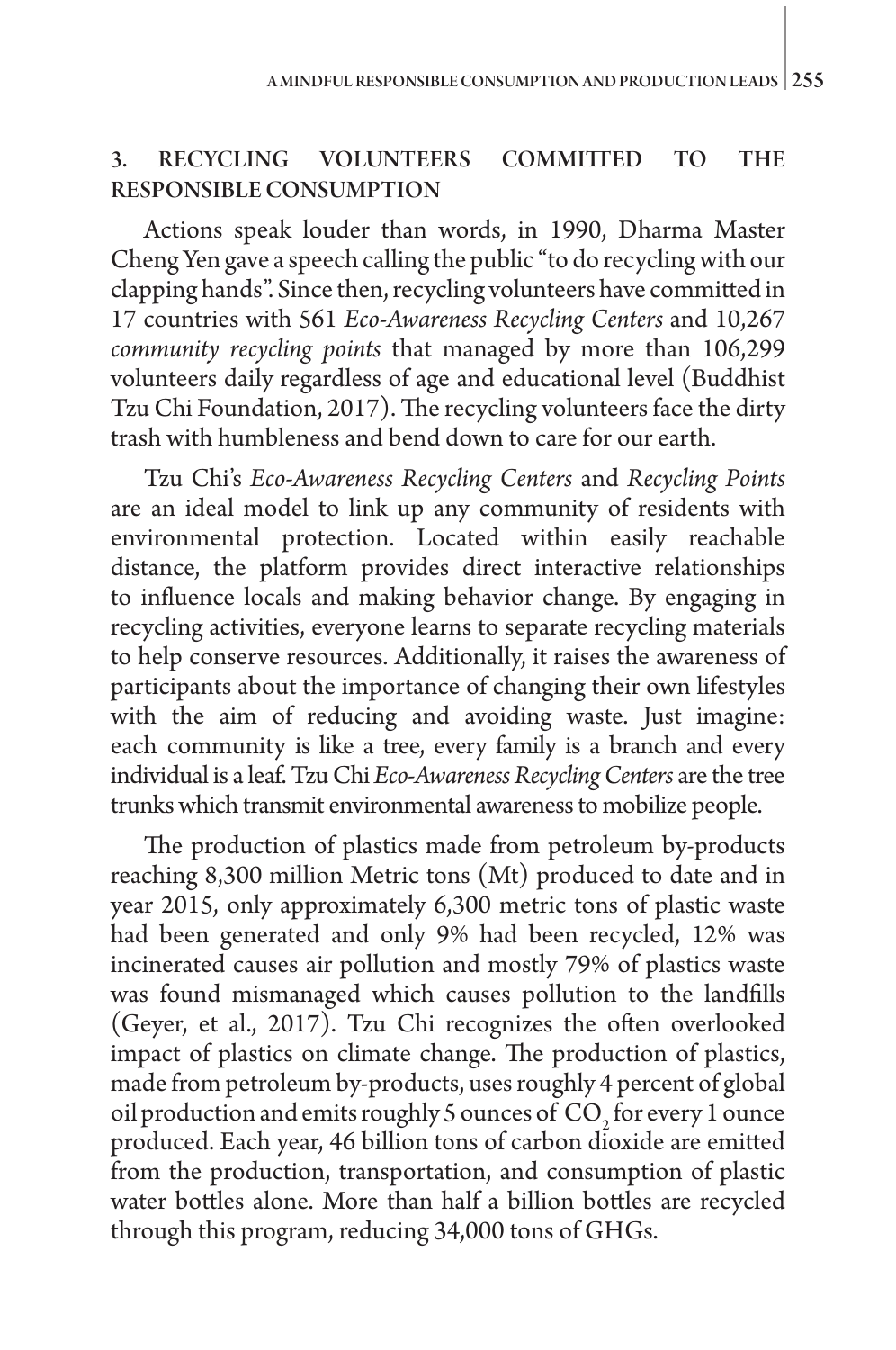#### 3. RECYCLING VOLUNTEERS COMMITTED TO THE RESPONSIBLE CONSUMPTION

Actions speak louder than words, in 1990, Dharma Master Cheng Yen gave a speech calling the public "to do recycling with our clapping hands". Since then, recycling volunteers have committed in 17 countries with 561 *Eco-Awareness Recycling Centers* and 10,267 *community recycling points* that managed by more than 106,299 volunteers daily regardless of age and educational level (Buddhist Tzu Chi Foundation, 2017). The recycling volunteers face the dirty trash with humbleness and bend down to care for our earth.

Tzu Chi's *Eco-Awareness Recycling Centers*  and *Recycling Points* are an ideal model to link up any community of residents with environmental protection. Located within easily reachable distance, the platform provides direct interactive relationships to influence locals and making behavior change. By engaging in recycling activities, everyone learns to separate recycling materials to help conserve resources. Additionally, it raises the awareness of participants about the importance of changing their own lifestyles with the aim of reducing and avoiding waste. Just imagine: each community is like a tree, every family is a branch and every individual is a leaf. Tzu Chi *Eco-Awareness Recycling Centers* are the tree trunks which transmit environmental awareness to mobilize people.

The production of plastics made from petroleum by-products reaching 8,300 million Metric tons (Mt) produced to date and in year 2015, only approximately 6,300 metric tons of plastic waste had been generated and only 9% had been recycled, 12% was incinerated causes air pollution and mostly 79% of plastics waste was found mismanaged which causes pollution to the landfills (Geyer, et al., 2017). Tzu Chi recognizes the often overlooked impact of plastics on climate change. The production of plastics, made from petroleum by-products, uses roughly 4 percent of global oil production and emits roughly 5 ounces of  $CO<sub>2</sub>$  for every 1 ounce produced. Each year, 46 billion tons of carbon dioxide are emitted from the production, transportation, and consumption of plastic water bottles alone. More than half a billion bottles are recycled through this program, reducing 34,000 tons of GHGs.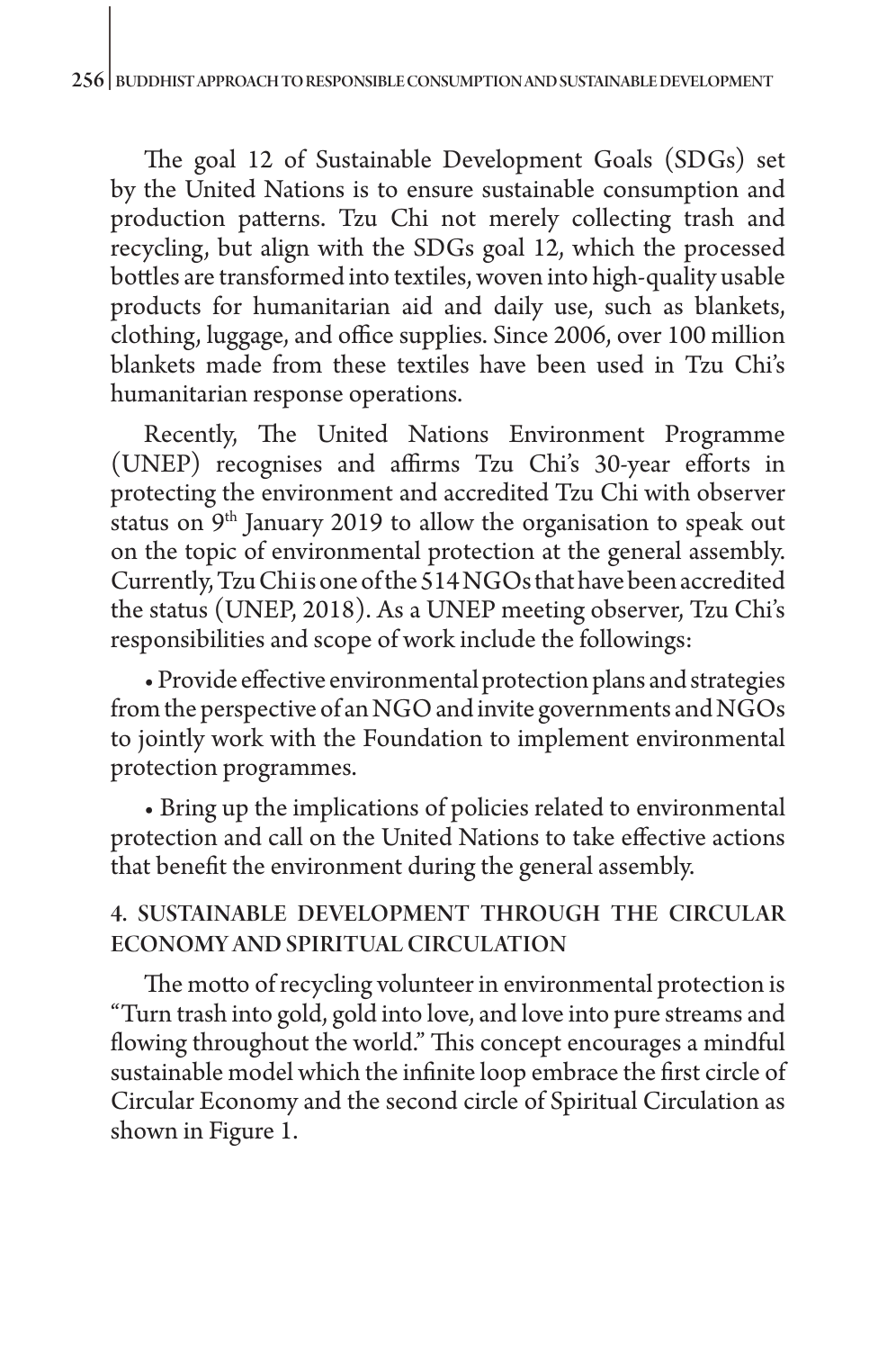The goal 12 of Sustainable Development Goals (SDGs) set by the United Nations is to ensure sustainable consumption and production patterns. Tzu Chi not merely collecting trash and recycling, but align with the SDGs goal 12, which the processed bottles are transformed into textiles, woven into high-quality usable products for humanitarian aid and daily use, such as blankets, clothing, luggage, and office supplies. Since 2006, over 100 million blankets made from these textiles have been used in Tzu Chi's humanitarian response operations.

Recently, The United Nations Environment Programme (UNEP) recognises and affirms Tzu Chi's 30-year efforts in protecting the environment and accredited Tzu Chi with observer status on 9<sup>th</sup> January 2019 to allow the organisation to speak out on the topic of environmental protection at the general assembly. Currently, Tzu Chi is one of the 514 NGOs that have been accredited the status (UNEP, 2018). As a UNEP meeting observer, Tzu Chi's responsibilities and scope of work include the followings:

• Provide effective environmental protection plans and strategies from the perspective of an NGO and invite governments and NGOs to jointly work with the Foundation to implement environmental protection programmes.

• Bring up the implications of policies related to environmental protection and call on the United Nations to take effective actions that benefit the environment during the general assembly.

# 4. SUSTAINABLE DEVELOPMENT THROUGH THE CIRCULAR ECONOMY AND SPIRITUAL CIRCULATION

The motto of recycling volunteer in environmental protection is "Turn trash into gold, gold into love, and love into pure streams and flowing throughout the world." This concept encourages a mindful sustainable model which the infinite loop embrace the first circle of Circular Economy and the second circle of Spiritual Circulation as shown in Figure 1.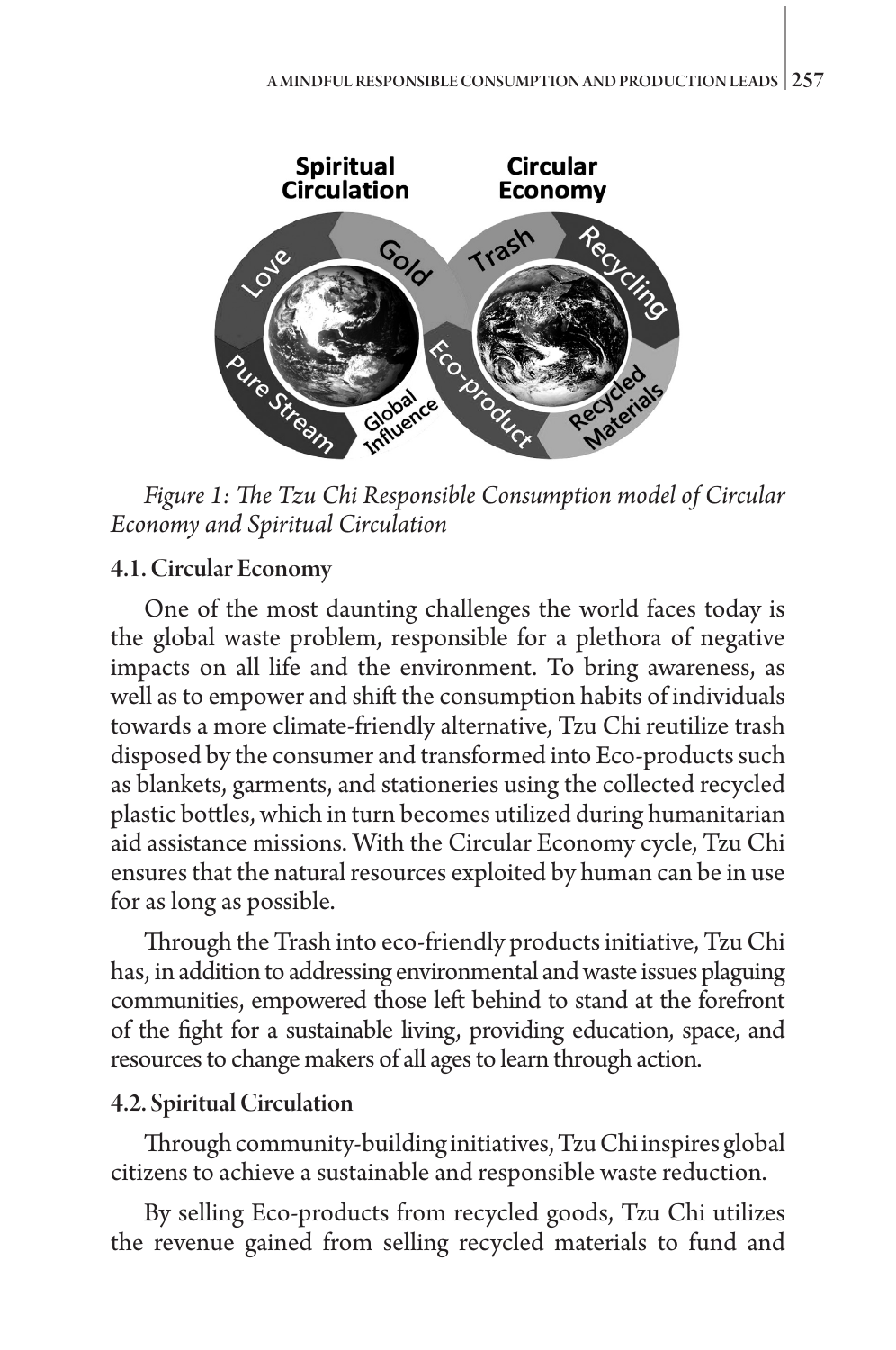

*Figure 1: The Tzu Chi Responsible Consumption model of Circular Economy and Spiritual Circulation*

### 4.1. Circular Economy

One of the most daunting challenges the world faces today is the global waste problem, responsible for a plethora of negative impacts on all life and the environment. To bring awareness, as well as to empower and shift the consumption habits of individuals towards a more climate-friendly alternative, Tzu Chi reutilize trash disposed by the consumer and transformed into Eco-products such as blankets, garments, and stationeries using the collected recycled plastic bottles, which in turn becomes utilized during humanitarian aid assistance missions. With the Circular Economy cycle, Tzu Chi ensures that the natural resources exploited by human can be in use for as long as possible.

Through the Trash into eco-friendly products initiative, Tzu Chi has, in addition to addressing environmental and waste issues plaguing communities, empowered those left behind to stand at the forefront of the fight for a sustainable living, providing education, space, and resources to change makers of all ages to learn through action.

# 4.2. Spiritual Circulation

Through community-building initiatives, Tzu Chi inspires global citizens to achieve a sustainable and responsible waste reduction.

By selling Eco-products from recycled goods, Tzu Chi utilizes the revenue gained from selling recycled materials to fund and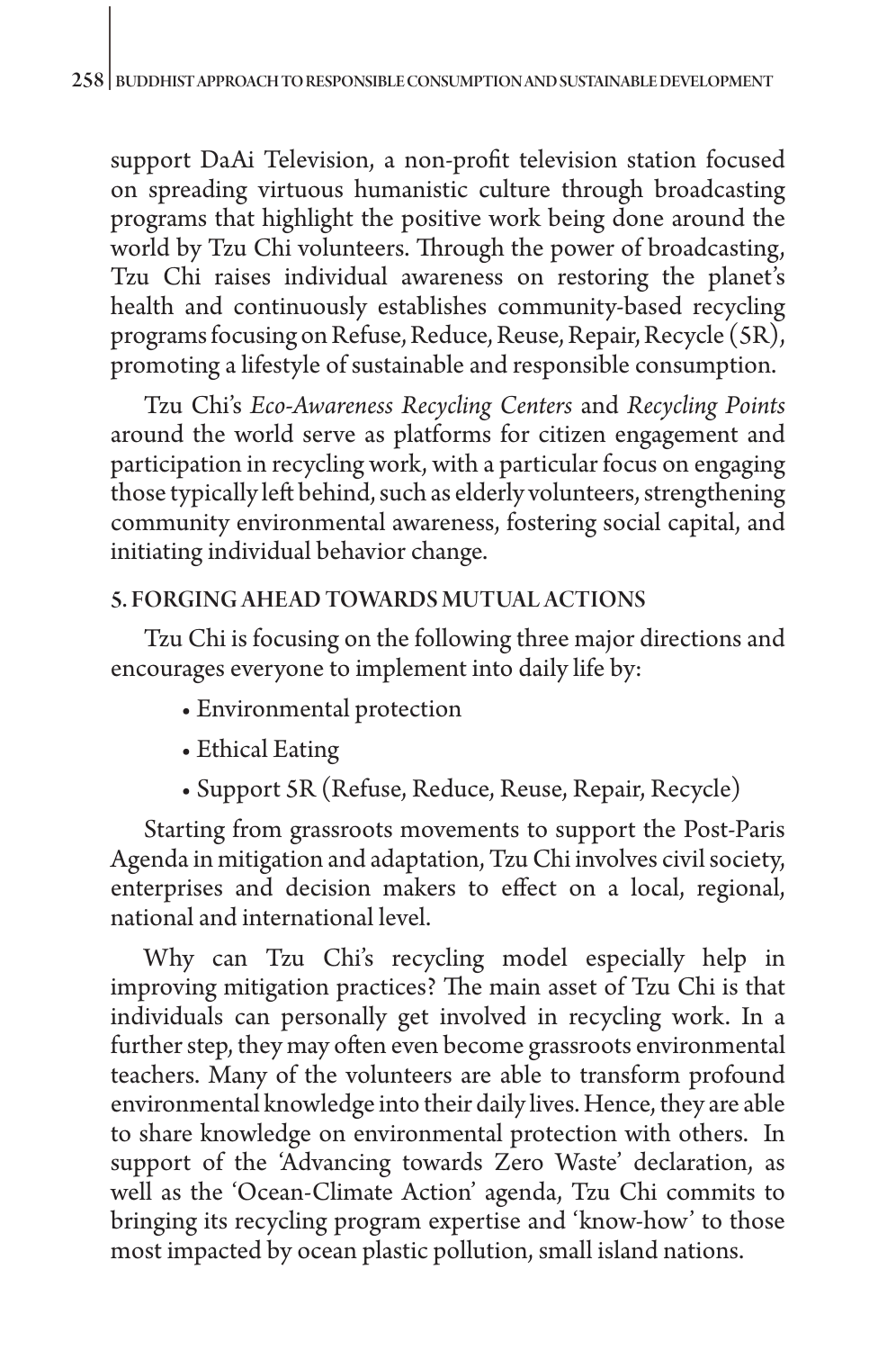support DaAi Television, a non-profit television station focused on spreading virtuous humanistic culture through broadcasting programs that highlight the positive work being done around the world by Tzu Chi volunteers. Through the power of broadcasting, Tzu Chi raises individual awareness on restoring the planet's health and continuously establishes community-based recycling programs focusing on Refuse, Reduce, Reuse, Repair, Recycle (5R), promoting a lifestyle of sustainable and responsible consumption.

Tzu Chi's *Eco-Awareness Recycling Centers*  and *Recycling Points* around the world serve as platforms for citizen engagement and participation in recycling work, with a particular focus on engaging those typically left behind, such as elderly volunteers, strengthening community environmental awareness, fostering social capital, and initiating individual behavior change.

#### 5. FORGING AHEAD TOWARDS MUTUAL ACTIONS

Tzu Chi is focusing on the following three major directions and encourages everyone to implement into daily life by:

- Environmental protection
- Ethical Eating
- Support 5R (Refuse, Reduce, Reuse, Repair, Recycle)

Starting from grassroots movements to support the Post-Paris Agenda in mitigation and adaptation, Tzu Chi involves civil society, enterprises and decision makers to effect on a local, regional, national and international level.

Why can Tzu Chi's recycling model especially help in improving mitigation practices? The main asset of Tzu Chi is that individuals can personally get involved in recycling work. In a further step, they may often even become grassroots environmental teachers. Many of the volunteers are able to transform profound environmental knowledge into their daily lives. Hence, they are able to share knowledge on environmental protection with others. In support of the 'Advancing towards Zero Waste' declaration, as well as the 'Ocean-Climate Action' agenda, Tzu Chi commits to bringing its recycling program expertise and 'know-how' to those most impacted by ocean plastic pollution, small island nations.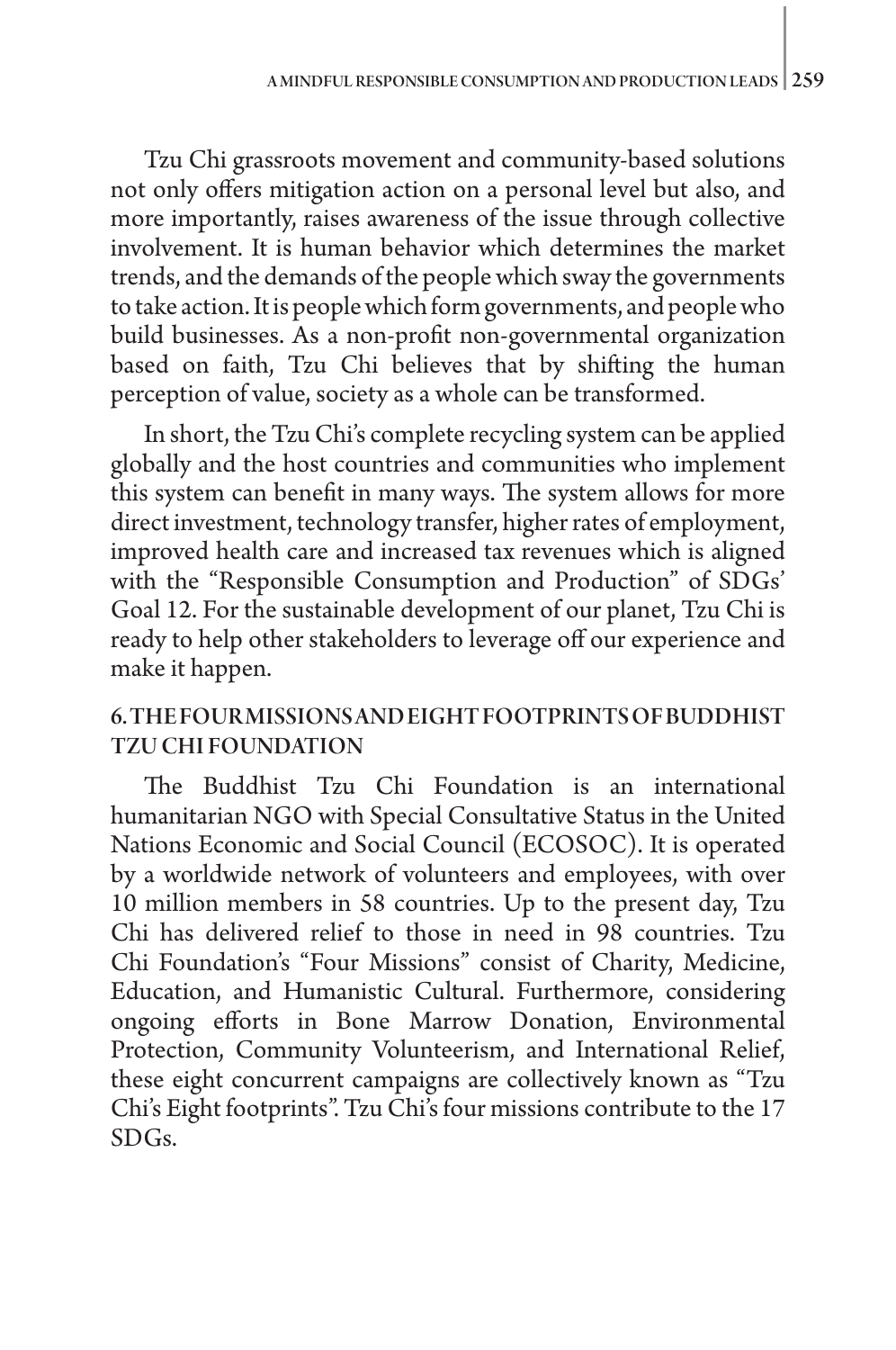Tzu Chi grassroots movement and community-based solutions not only offers mitigation action on a personal level but also, and more importantly, raises awareness of the issue through collective involvement. It is human behavior which determines the market trends, and the demands of the people which sway the governments to take action. It is people which form governments, and people who build businesses. As a non-profit non-governmental organization based on faith, Tzu Chi believes that by shifting the human perception of value, society as a whole can be transformed.

In short, the Tzu Chi's complete recycling system can be applied globally and the host countries and communities who implement this system can benefit in many ways. The system allows for more direct investment, technology transfer, higher rates of employment, improved health care and increased tax revenues which is aligned with the "Responsible Consumption and Production" of SDGs' Goal 12. For the sustainable development of our planet, Tzu Chi is ready to help other stakeholders to leverage off our experience and make it happen.

# 6. THE FOUR MISSIONS AND EIGHT FOOTPRINTS OF BUDDHIST TZU CHI FOUNDATION

The Buddhist Tzu Chi Foundation is an international humanitarian NGO with Special Consultative Status in the United Nations Economic and Social Council (ECOSOC). It is operated by a worldwide network of volunteers and employees, with over 10 million members in 58 countries. Up to the present day, Tzu Chi has delivered relief to those in need in 98 countries. Tzu Chi Foundation's "Four Missions" consist of Charity, Medicine, Education, and Humanistic Cultural. Furthermore, considering ongoing efforts in Bone Marrow Donation, Environmental Protection, Community Volunteerism, and International Relief, these eight concurrent campaigns are collectively known as "Tzu Chi's Eight footprints". Tzu Chi's four missions contribute to the 17 SDGs.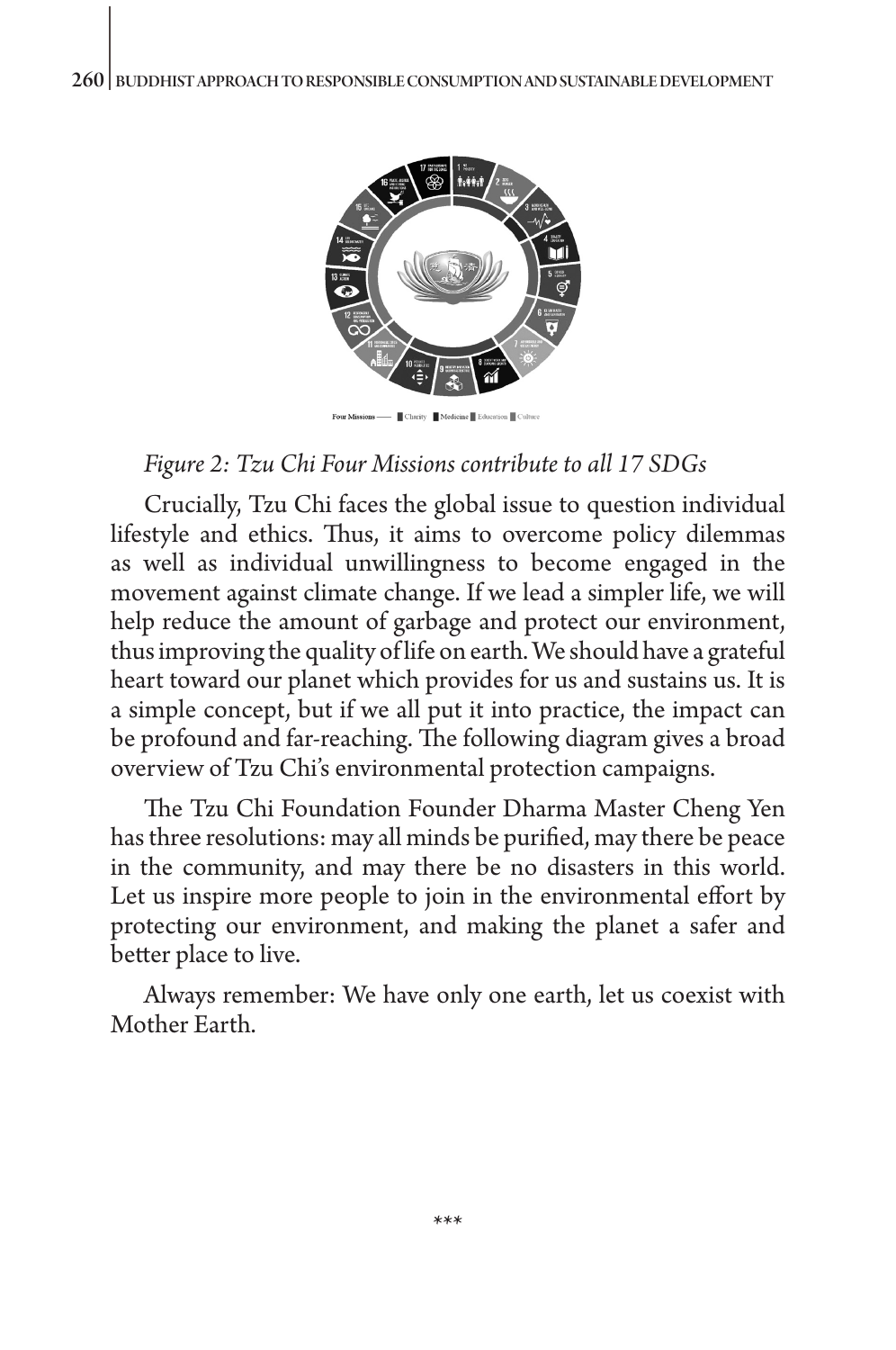

#### *Figure 2: Tzu Chi Four Missions contribute to all 17 SDGs*

Crucially, Tzu Chi faces the global issue to question individual lifestyle and ethics. Thus, it aims to overcome policy dilemmas as well as individual unwillingness to become engaged in the movement against climate change. If we lead a simpler life, we will help reduce the amount of garbage and protect our environment, thus improving the quality of life on earth. We should have a grateful heart toward our planet which provides for us and sustains us. It is a simple concept, but if we all put it into practice, the impact can be profound and far-reaching. The following diagram gives a broad overview of Tzu Chi's environmental protection campaigns.

The Tzu Chi Foundation Founder Dharma Master Cheng Yen has three resolutions: may all minds be purified, may there be peace in the community, and may there be no disasters in this world. Let us inspire more people to join in the environmental effort by protecting our environment, and making the planet a safer and better place to live.

Always remember: We have only one earth, let us coexist with Mother Earth.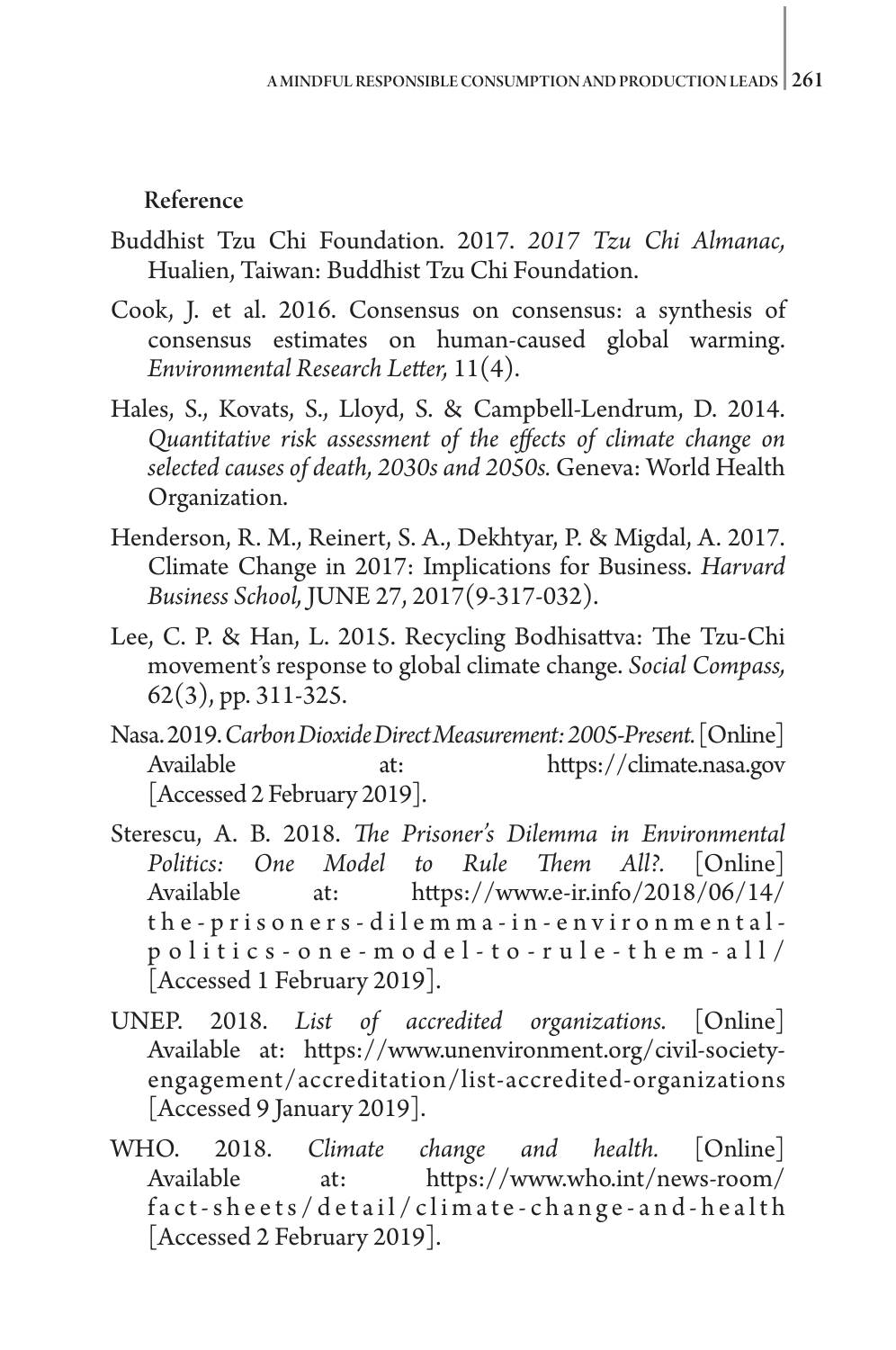#### Reference

- Buddhist Tzu Chi Foundation. 2017. *2017 Tzu Chi Almanac,*  Hualien, Taiwan: Buddhist Tzu Chi Foundation.
- Cook, J. et al. 2016. Consensus on consensus: a synthesis of consensus estimates on human-caused global warming. *Environmental Research Letter,* 11(4).
- Hales, S., Kovats, S., Lloyd, S. & Campbell-Lendrum, D. 2014. *Quantitative risk assessment of the effects of climate change on selected causes of death, 2030s and 2050s.* Geneva: World Health Organization.
- Henderson, R. M., Reinert, S. A., Dekhtyar, P. & Migdal, A. 2017. Climate Change in 2017: Implications for Business. *Harvard Business School,* JUNE 27, 2017(9-317-032).
- Lee, C. P. & Han, L. 2015. Recycling Bodhisattva: The Tzu-Chi movement's response to global climate change. *Social Compass,*  62(3), pp. 311-325.
- Nasa. 2019. *Carbon Dioxide Direct Measurement: 2005-Present.* [Online] Available at: https://climate.nasa.gov [Accessed 2 February 2019].
- Sterescu, A. B. 2018. *The Prisoner's Dilemma in Environmental Politics: One Model to Rule Them All?.* [Online] Available at: https://www.e-ir.info/2018/06/14/ the-prisoners-dilemma-in-environmentalpolitics-one-model-to-rule-them-all/ [Accessed 1 February 2019].
- UNEP. 2018. *List of accredited organizations.* [Online] Available at: https://www.unenvironment.org/civil-societyengagement/accreditation/list-accredited-organizations [Accessed 9 January 2019].
- WHO. 2018. *Climate change and health.* [Online] Available at: https://www.who.int/news-room/ fact-sheets/detail/climate-change-and-health [Accessed 2 February 2019].